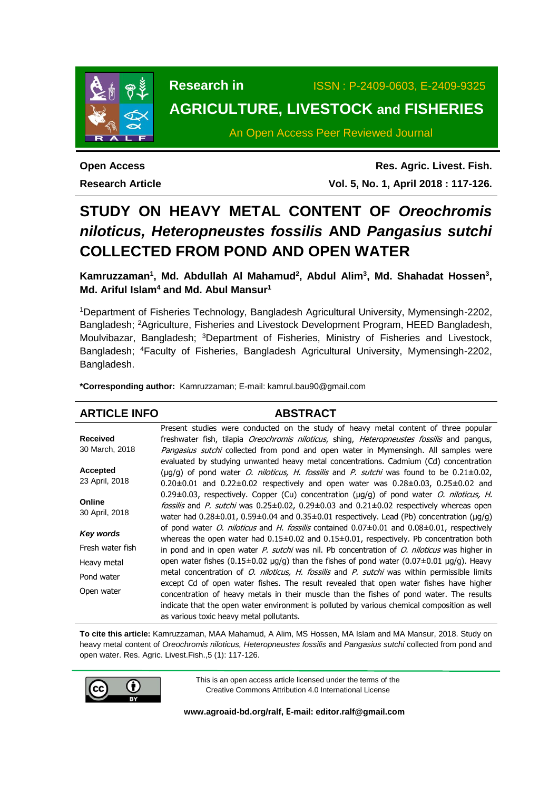

**Research in** ISSN : P-2409-0603, E-2409-9325 **AGRICULTURE, LIVESTOCK and FISHERIES**

An Open Access Peer Reviewed Journal

**Open Access Research Article**

**Res. Agric. Livest. Fish. Vol. 5, No. 1, April 2018 : 117-126.**

# **STUDY ON HEAVY METAL CONTENT OF** *Oreochromis niloticus, Heteropneustes fossilis* **AND** *Pangasius sutchi* **COLLECTED FROM POND AND OPEN WATER**

Kamruzzaman<sup>1</sup>, Md. Abdullah Al Mahamud<sup>2</sup>, Abdul Alim<sup>3</sup>, Md. Shahadat Hossen<sup>3</sup>, **Md. Ariful Islam<sup>4</sup> and Md. Abul Mansur<sup>1</sup>**

<sup>1</sup>Department of Fisheries Technology, Bangladesh Agricultural University, Mymensingh-2202, Bangladesh; <sup>2</sup>Agriculture, Fisheries and Livestock Development Program, HEED Bangladesh, Moulvibazar, Bangladesh; <sup>3</sup>Department of Fisheries, Ministry of Fisheries and Livestock, Bangladesh; <sup>4</sup>Faculty of Fisheries, Bangladesh Agricultural University, Mymensingh-2202, Bangladesh.

**\*Corresponding author:** Kamruzzaman; E-mail: [kamrul.bau90@gmail.com](mailto:kamrul.bau90@gmail.com)

## **ARTICLE INFO ABSTRACT**

| <b>Received</b>  | Present studies were conducted on the study of heavy metal content of three popular                                   |
|------------------|-----------------------------------------------------------------------------------------------------------------------|
|                  | freshwater fish, tilapia <i>Oreochromis niloticus</i> , shing, <i>Heteropneustes fossilis</i> and pangus,             |
| 30 March, 2018   | Pangasius sutchi collected from pond and open water in Mymensingh. All samples were                                   |
|                  | evaluated by studying unwanted heavy metal concentrations. Cadmium (Cd) concentration                                 |
| <b>Accepted</b>  | ( $\mu$ g/g) of pond water <i>O. niloticus, H. fossilis</i> and <i>P. sutchi</i> was found to be $0.21 \pm 0.02$ ,    |
| 23 April, 2018   | $0.20\pm0.01$ and $0.22\pm0.02$ respectively and open water was $0.28\pm0.03$ , $0.25\pm0.02$ and                     |
|                  | $0.29\pm0.03$ , respectively. Copper (Cu) concentration ( $\mu q/q$ ) of pond water <i>O. niloticus, H.</i>           |
| Online           | fossilis and P. sutchi was 0.25±0.02, 0.29±0.03 and 0.21±0.02 respectively whereas open                               |
| 30 April, 2018   | water had 0.28 $\pm$ 0.01, 0.59 $\pm$ 0.04 and 0.35 $\pm$ 0.01 respectively. Lead (Pb) concentration ( $\mu$ g/g)     |
| Key words        | of pond water <i>O. niloticus</i> and <i>H. fossilis</i> contained $0.07 \pm 0.01$ and $0.08 \pm 0.01$ , respectively |
|                  | whereas the open water had 0.15±0.02 and 0.15±0.01, respectively. Pb concentration both                               |
| Fresh water fish | in pond and in open water $P$ . sutchi was nil. Pb concentration of $O$ . niloticus was higher in                     |
| Heavy metal      | open water fishes (0.15±0.02 µg/g) than the fishes of pond water (0.07±0.01 µg/g). Heavy                              |
| Pond water       | metal concentration of <i>O. niloticus, H. fossilis</i> and <i>P. sutchi</i> was within permissible limits            |
|                  | except Cd of open water fishes. The result revealed that open water fishes have higher                                |
| Open water       | concentration of heavy metals in their muscle than the fishes of pond water. The results                              |
|                  | indicate that the open water environment is polluted by various chemical composition as well                          |
|                  | as various toxic heavy metal pollutants.                                                                              |

**To cite this article:** Kamruzzaman, MAA Mahamud, A Alim, MS Hossen, MA Islam and MA Mansur, 2018. Study on heavy metal content of *Oreochromis niloticus, Heteropneustes fossilis* and *Pangasius sutchi* collected from pond and open water. Res. Agric. Livest.Fish.,5 (1): 117-126.



This is an open access article licensed under the terms of the Creative Commons Attribution 4.0 International License

**[www.agroaid-bd.org/ralf,](http://www.agroaid-bd.org/ralf) E-mail: [editor.ralf@gmail.com](mailto:editor.ralf@gmail.com)**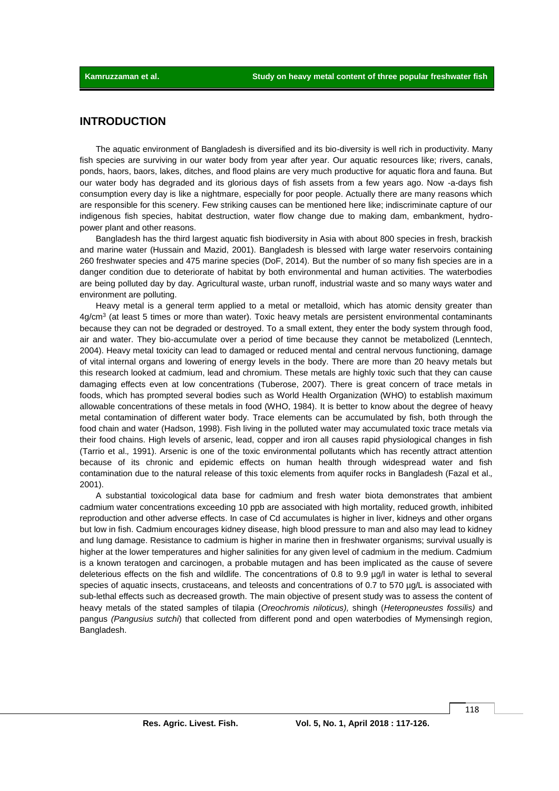# **INTRODUCTION**

The aquatic environment of Bangladesh is diversified and its bio-diversity is well rich in productivity. Many fish species are surviving in our water body from year after year. Our aquatic resources like; rivers, canals, ponds, haors, baors, lakes, ditches, and flood plains are very much productive for aquatic flora and fauna. But our water body has degraded and its glorious days of fish assets from a few years ago. Now -a-days fish consumption every day is like a nightmare, especially for poor people. Actually there are many reasons which are responsible for this scenery. Few striking causes can be mentioned here like; indiscriminate capture of our indigenous fish species, habitat destruction, water flow change due to making dam, embankment, hydropower plant and other reasons.

Bangladesh has the third largest aquatic fish biodiversity in Asia with about 800 species in fresh, brackish and marine water (Hussain and Mazid, 2001). Bangladesh is blessed with large water reservoirs containing 260 freshwater species and 475 marine species (DoF, 2014). But the number of so many fish species are in a danger condition due to deteriorate of habitat by both environmental and human activities. The waterbodies are being polluted day by day. Agricultural waste, urban runoff, industrial waste and so many ways water and environment are polluting.

Heavy metal is a general term applied to a metal or metalloid, which has atomic density greater than 4g/cm<sup>3</sup> (at least 5 times or more than water). Toxic heavy metals are persistent environmental contaminants because they can not be degraded or destroyed. To a small extent, they enter the body system through food, air and water. They bio-accumulate over a period of time because they cannot be metabolized (Lenntech, 2004). Heavy metal toxicity can lead to damaged or reduced mental and central nervous functioning, damage of vital internal organs and lowering of energy levels in the body. There are more than 20 heavy metals but this research looked at cadmium, lead and chromium. These metals are highly toxic such that they can cause damaging effects even at low concentrations (Tuberose, 2007). There is great concern of trace metals in foods, which has prompted several bodies such as World Health Organization (WHO) to establish maximum allowable concentrations of these metals in food (WHO, 1984). It is better to know about the degree of heavy metal contamination of different water body. Trace elements can be accumulated by fish, both through the food chain and water (Hadson, 1998). Fish living in the polluted water may accumulated toxic trace metals via their food chains. High levels of arsenic, lead, copper and iron all causes rapid physiological changes in fish (Tarrio et al.*,* 1991). Arsenic is one of the toxic environmental pollutants which has recently attract attention because of its chronic and epidemic effects on human health through widespread water and fish contamination due to the natural release of this toxic elements from aquifer rocks in Bangladesh (Fazal et al.*,*  2001).

A substantial toxicological data base for cadmium and fresh water biota demonstrates that ambient cadmium water concentrations exceeding 10 ppb are associated with high mortality, reduced growth, inhibited reproduction and other adverse effects. In case of Cd accumulates is higher in liver, kidneys and other organs but low in fish. Cadmium encourages kidney disease, high blood pressure to man and also may lead to kidney and lung damage. Resistance to cadmium is higher in marine then in freshwater organisms; survival usually is higher at the lower temperatures and higher salinities for any given level of cadmium in the medium. Cadmium is a known teratogen and carcinogen, a probable mutagen and has been implicated as the cause of severe deleterious effects on the fish and wildlife. The concentrations of 0.8 to 9.9 µg/l in water is lethal to several species of aquatic insects, crustaceans, and teleosts and concentrations of 0.7 to 570 ug/L is associated with sub-lethal effects such as decreased growth. The main objective of present study was to assess the content of heavy metals of the stated samples of tilapia (*Oreochromis niloticus),* shingh (*Heteropneustes fossilis)* and pangus *(Pangusius sutchi*) that collected from different pond and open waterbodies of Mymensingh region, Bangladesh.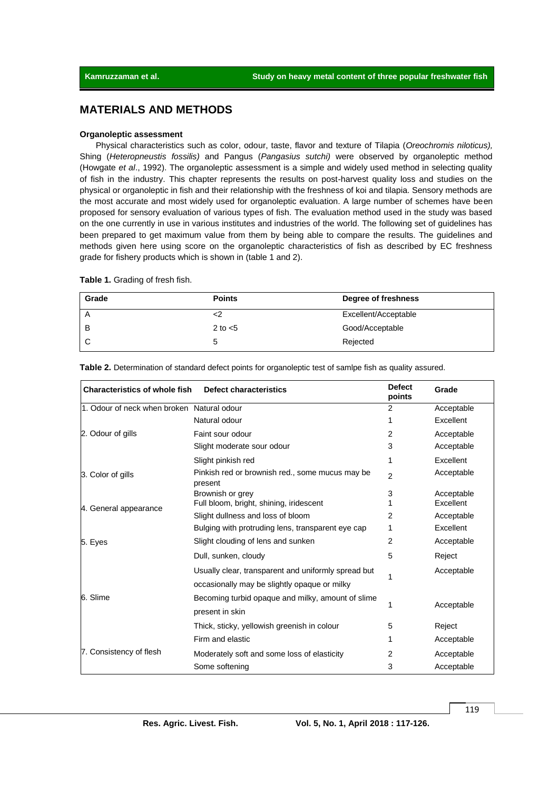# **MATERIALS AND METHODS**

### **Organoleptic assessment**

Physical characteristics such as color, odour, taste, flavor and texture of Tilapia (*Oreochromis niloticus),* Shing (*Heteropneustis fossilis)* and Pangus (*Pangasius sutchi)* were observed by organoleptic method (Howgate *et al*., 1992). The organoleptic assessment is a simple and widely used method in selecting quality of fish in the industry. This chapter represents the results on post-harvest quality loss and studies on the physical or organoleptic in fish and their relationship with the freshness of koi and tilapia. Sensory methods are the most accurate and most widely used for organoleptic evaluation. A large number of schemes have been proposed for sensory evaluation of various types of fish. The evaluation method used in the study was based on the one currently in use in various institutes and industries of the world. The following set of guidelines has been prepared to get maximum value from them by being able to compare the results. The guidelines and methods given here using score on the organoleptic characteristics of fish as described by EC freshness grade for fishery products which is shown in (table 1 and 2).

**Table 1.** Grading of fresh fish.

| Grade | <b>Points</b> | Degree of freshness  |
|-------|---------------|----------------------|
| A     |               | Excellent/Acceptable |
| В     | 2 to $<$ 5    | Good/Acceptable      |
|       | 5             | Rejected             |

| <b>Defect</b><br><b>Characteristics of whole fish</b><br>Defect characteristics<br>Grade<br>points |                                                            |                |            |  |  |
|----------------------------------------------------------------------------------------------------|------------------------------------------------------------|----------------|------------|--|--|
| 1. Odour of neck when broken Natural odour                                                         |                                                            | 2              | Acceptable |  |  |
|                                                                                                    | Natural odour                                              |                | Excellent  |  |  |
| 2. Odour of gills                                                                                  | Faint sour odour                                           | $\overline{2}$ | Acceptable |  |  |
|                                                                                                    | Slight moderate sour odour                                 | 3              | Acceptable |  |  |
|                                                                                                    | Slight pinkish red                                         | 1              | Excellent  |  |  |
| 3. Color of gills                                                                                  | Pinkish red or brownish red., some mucus may be<br>present | $\overline{2}$ | Acceptable |  |  |
|                                                                                                    | Brownish or grey                                           | 3              | Acceptable |  |  |
| 4. General appearance                                                                              | Full bloom, bright, shining, iridescent                    |                | Excellent  |  |  |
|                                                                                                    | Slight dullness and loss of bloom                          | 2              | Acceptable |  |  |
|                                                                                                    | Bulging with protruding lens, transparent eye cap          | 1              | Excellent  |  |  |
| 5. Eyes                                                                                            | Slight clouding of lens and sunken                         | 2              | Acceptable |  |  |
|                                                                                                    | Dull, sunken, cloudy                                       | 5              | Reject     |  |  |
|                                                                                                    | Usually clear, transparent and uniformly spread but        |                | Acceptable |  |  |
|                                                                                                    | occasionally may be slightly opaque or milky               |                |            |  |  |
| 6. Slime                                                                                           | Becoming turbid opaque and milky, amount of slime          |                | Acceptable |  |  |
|                                                                                                    | present in skin                                            | 1              |            |  |  |
|                                                                                                    | Thick, sticky, yellowish greenish in colour                | 5              | Reject     |  |  |
|                                                                                                    | Firm and elastic                                           | 1              | Acceptable |  |  |
| 7. Consistency of flesh                                                                            | Moderately soft and some loss of elasticity                | 2              | Acceptable |  |  |
|                                                                                                    | Some softening                                             | 3              | Acceptable |  |  |

**Table 2.** Determination of standard defect points for organoleptic test of samlpe fish as quality assured.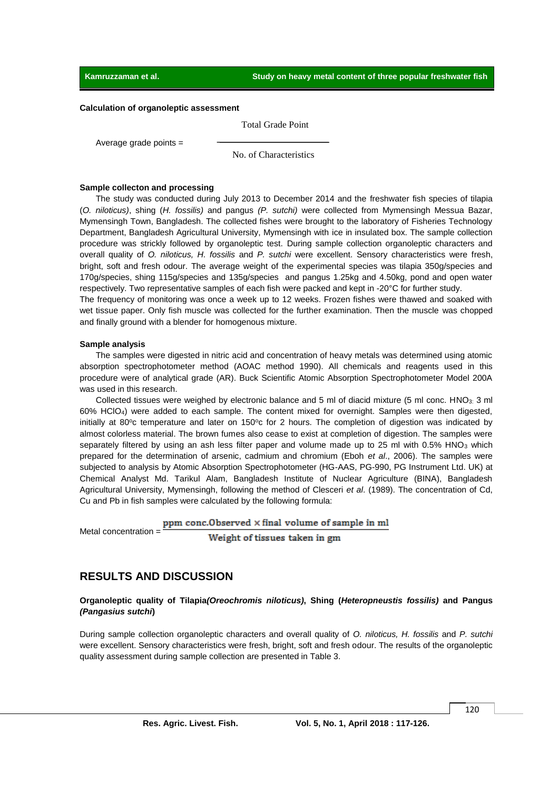#### **Calculation of organoleptic assessment**

Total Grade Point

Average grade points  $=$ 

No. of Characteristics

#### **Sample collecton and processing**

The study was conducted during July 2013 to December 2014 and the freshwater fish species of tilapia (*O. niloticus)*, shing (*H. fossilis)* and pangus *(P. sutchi)* were collected from Mymensingh Messua Bazar, Mymensingh Town, Bangladesh. The collected fishes were brought to the laboratory of Fisheries Technology Department, Bangladesh Agricultural University, Mymensingh with ice in insulated box. The sample collection procedure was strickly followed by organoleptic test. During sample collection organoleptic characters and overall quality of *O. niloticus, H. fossilis* and *P. sutchi* were excellent. Sensory characteristics were fresh, bright, soft and fresh odour. The average weight of the experimental species was tilapia 350g/species and 170g/species, shing 115g/species and 135g/species and pangus 1.25kg and 4.50kg, pond and open water respectively. Two representative samples of each fish were packed and kept in -20°C for further study.

The frequency of monitoring was once a week up to 12 weeks. Frozen fishes were thawed and soaked with wet tissue paper. Only fish muscle was collected for the further examination. Then the muscle was chopped and finally ground with a blender for homogenous mixture.

### **Sample analysis**

The samples were digested in nitric acid and concentration of heavy metals was determined using atomic absorption spectrophotometer method (AOAC method 1990). All chemicals and reagents used in this procedure were of analytical grade (AR). Buck Scientific Atomic Absorption Spectrophotometer Model 200A was used in this research.

Collected tissues were weighed by electronic balance and 5 ml of diacid mixture (5 ml conc. HNO<sub>3:</sub> 3 ml 60% HClO4) were added to each sample. The content mixed for overnight. Samples were then digested, initially at 80 $\degree$ c temperature and later on 150 $\degree$ c for 2 hours. The completion of digestion was indicated by almost colorless material. The brown fumes also cease to exist at completion of digestion. The samples were separately filtered by using an ash less filter paper and volume made up to 25 ml with 0.5% HNO<sub>3</sub> which prepared for the determination of arsenic, cadmium and chromium (Eboh *et al*., 2006). The samples were subjected to analysis by Atomic Absorption Spectrophotometer (HG-AAS, PG-990, PG Instrument Ltd. UK) at Chemical Analyst Md. Tarikul Alam, Bangladesh Institute of Nuclear Agriculture (BINA), Bangladesh Agricultural University, Mymensingh, following the method of Clesceri *et al*. (1989). The concentration of Cd, Cu and Pb in fish samples were calculated by the following formula:

ppm conc.Observed x final volume of sample in ml

Metal concentration =

Weight of tissues taken in gm

## **RESULTS AND DISCUSSION**

### **Organoleptic quality of Tilapia***(Oreochromis niloticus)***, Shing (***Heteropneustis fossilis)* **and Pangus** *(Pangasius sutchi***)**

During sample collection organoleptic characters and overall quality of *O. niloticus, H. fossilis* and *P. sutchi* were excellent. Sensory characteristics were fresh, bright, soft and fresh odour. The results of the organoleptic quality assessment during sample collection are presented in Table 3.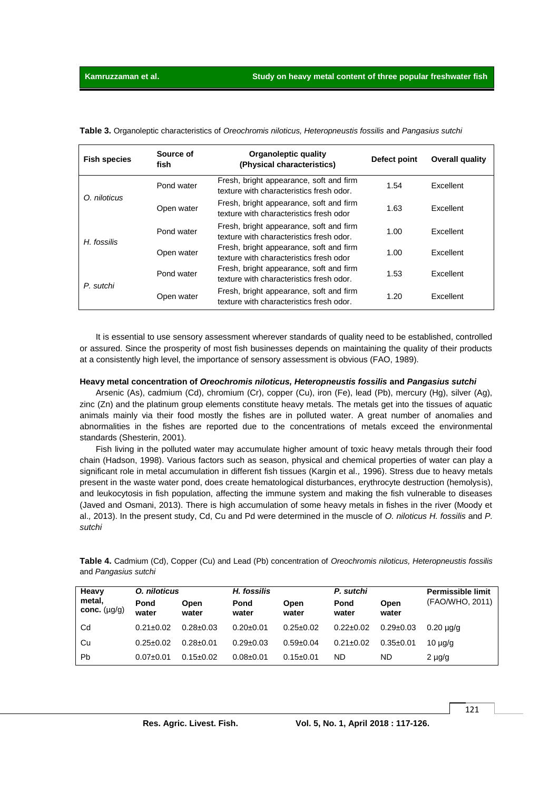| <b>Fish species</b> | Source of<br>fish | Organoleptic quality<br>(Physical characteristics)                                  | Defect point | Overall quality  |
|---------------------|-------------------|-------------------------------------------------------------------------------------|--------------|------------------|
| O. niloticus        | Pond water        | Fresh, bright appearance, soft and firm<br>texture with characteristics fresh odor. | 1.54         | Excellent        |
|                     | Open water        | Fresh, bright appearance, soft and firm<br>texture with characteristics fresh odor  | 1.63         | Excellent        |
| H. fossilis         | Pond water        | Fresh, bright appearance, soft and firm<br>texture with characteristics fresh odor. | 1.00         | Excellent        |
|                     | Open water        | Fresh, bright appearance, soft and firm<br>texture with characteristics fresh odor  | 1.00         | <b>Excellent</b> |
| P. sutchi           | Pond water        | Fresh, bright appearance, soft and firm<br>texture with characteristics fresh odor. | 1.53         | <b>Excellent</b> |
|                     | Open water        | Fresh, bright appearance, soft and firm<br>texture with characteristics fresh odor. | 1.20         | <b>Excellent</b> |

**Table 3.** Organoleptic characteristics of *Oreochromis niloticus, Heteropneustis fossilis* and *Pangasius sutchi*

It is essential to use sensory assessment wherever standards of quality need to be established, controlled or assured. Since the prosperity of most fish businesses depends on maintaining the quality of their products at a consistently high level, the importance of sensory assessment is obvious (FAO, 1989).

#### **Heavy metal concentration of** *Oreochromis niloticus, Heteropneustis fossilis* **and** *Pangasius sutchi*

Arsenic (As), cadmium (Cd), chromium (Cr), copper (Cu), iron (Fe), lead (Pb), mercury (Hg), silver (Ag), zinc (Zn) and the platinum group elements constitute heavy metals. The metals get into the tissues of aquatic animals mainly via their food mostly the fishes are in polluted water. A great number of anomalies and abnormalities in the fishes are reported due to the concentrations of metals exceed the environmental standards (Shesterin, 2001).

Fish living in the polluted water may accumulate higher amount of toxic heavy metals through their food chain (Hadson, 1998). Various factors such as season, physical and chemical properties of water can play a significant role in metal accumulation in different fish tissues (Kargin et al.*,* 1996). Stress due to heavy metals present in the waste water pond, does create hematological disturbances, erythrocyte destruction (hemolysis), and leukocytosis in fish population, affecting the immune system and making the fish vulnerable to diseases (Javed and Osmani, 2013). There is high accumulation of some heavy metals in fishes in the river (Moody et al.*,* 2013). In the present study, Cd, Cu and Pd were determined in the muscle of *O. niloticus H. fossilis* and *P. sutchi*

**Table 4.** Cadmium (Cd), Copper (Cu) and Lead (Pb) concentration of *Oreochromis niloticus, Heteropneustis fossilis*  and *Pangasius sutchi*

| Heavy<br>metal,<br>$conc.$ $(\mu g/g)$ | O. niloticus    |                 | H. fossilis     |                 | P. sutchi       |                 | <b>Permissible limit</b> |
|----------------------------------------|-----------------|-----------------|-----------------|-----------------|-----------------|-----------------|--------------------------|
|                                        | Pond<br>water   | Open<br>water   | Pond<br>water   | Open<br>water   | Pond<br>water   | Open<br>water   | (FAO/WHO, 2011)          |
| Cd                                     | $0.21 \pm 0.02$ | $0.28 \pm 0.03$ | $0.20 \pm 0.01$ | $0.25 \pm 0.02$ | $0.22 \pm 0.02$ | $0.29 \pm 0.03$ | $0.20 \mu$ a/a           |
| Cu                                     | $0.25 \pm 0.02$ | $0.28 \pm 0.01$ | $0.29 \pm 0.03$ | $0.59 \pm 0.04$ | $0.21 \pm 0.02$ | $0.35 \pm 0.01$ | $10 \mu q/q$             |
| Pb                                     | $0.07+0.01$     | $0.15 \pm 0.02$ | $0.08 \pm 0.01$ | $0.15 \pm 0.01$ | <b>ND</b>       | ND.             | $2 \mu q/q$              |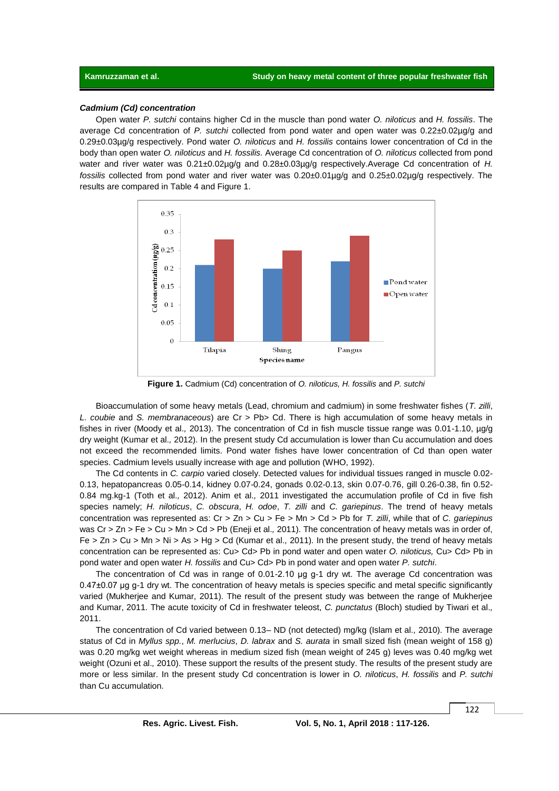### *Cadmium (Cd) concentration*

Open water *P. sutchi* contains higher Cd in the muscle than pond water *O. niloticus* and *H. fossilis*. The average Cd concentration of *P. sutchi* collected from pond water and open water was 0.22±0.02µg/g and 0.29±0.03µg/g respectively. Pond water *O. niloticus* and *H. fossilis* contains lower concentration of Cd in the body than open water *O. niloticus* and *H. fossilis.* Average Cd concentration of *O. niloticus* collected from pond water and river water was  $0.21 \pm 0.02 \mu g/g$  and  $0.28 \pm 0.03 \mu g/g$  respectively. Average Cd concentration of *H. fossilis* collected from pond water and river water was 0.20±0.01µg/g and 0.25±0.02µg/g respectively. The results are compared in Table 4 and Figure 1.



**Figure 1.** Cadmium (Cd) concentration of *O. niloticus, H. fossilis* and *P. sutchi*

Bioaccumulation of some heavy metals (Lead, chromium and cadmium) in some freshwater fishes (*T. zilli*, *L. coubie* and *S. membranaceous*) are Cr > Pb> Cd. There is high accumulation of some heavy metals in fishes in river (Moody et al.*,* 2013). The concentration of Cd in fish muscle tissue range was 0.01-1.10, µg/g dry weight (Kumar et al.*,* 2012). In the present study Cd accumulation is lower than Cu accumulation and does not exceed the recommended limits. Pond water fishes have lower concentration of Cd than open water species. Cadmium levels usually increase with age and pollution (WHO, 1992).

The Cd contents in *C. carpio* varied closely. Detected values for individual tissues ranged in muscle 0.02- 0.13, hepatopancreas 0.05-0.14, kidney 0.07-0.24, gonads 0.02-0.13, skin 0.07-0.76, gill 0.26-0.38, fin 0.52- 0.84 mg.kg-1 (Toth et al.*,* 2012). Anim et al.*,* 2011 investigated the accumulation profile of Cd in five fish species namely; *H. niloticus*, *C. obscura*, *H. odoe*, *T. zilli* and *C. gariepinus*. The trend of heavy metals concentration was represented as: Cr > Zn > Cu > Fe > Mn > Cd > Pb for *T. zilli*, while that of *C. gariepinus*  was Cr > Zn > Fe > Cu > Mn > Cd > Pb (Eneji et al.*,* 2011). The concentration of heavy metals was in order of, Fe > Zn > Cu > Mn > Ni > As > Hg > Cd (Kumar et al.*,* 2011). In the present study, the trend of heavy metals concentration can be represented as: Cu> Cd> Pb in pond water and open water *O. niloticus,* Cu> Cd> Pb in pond water and open water *H. fossilis* and Cu> Cd> Pb in pond water and open water *P. sutchi*.

The concentration of Cd was in range of 0.01-2.10 μg g-1 dry wt. The average Cd concentration was 0.47±0.07 μg g-1 dry wt. The concentration of heavy metals is species specific and metal specific significantly varied (Mukherjee and Kumar, 2011). The result of the present study was between the range of Mukherjee and Kumar, 2011. The acute toxicity of Cd in freshwater teleost, *C. punctatus* (Bloch) studied by Tiwari et al.*,* 2011.

The concentration of Cd varied between 0.13– ND (not detected) mg/kg (Islam et al.*,* 2010). The average status of Cd in *Myllus spp.*, *M. merlucius*, *D. labrax* and *S. aurata* in small sized fish (mean weight of 158 g) was 0.20 mg/kg wet weight whereas in medium sized fish (mean weight of 245 g) leves was 0.40 mg/kg wet weight (Ozuni et al.*,* 2010). These support the results of the present study. The results of the present study are more or less similar. In the present study Cd concentration is lower in *O. niloticus*, *H. fossilis* and *P. sutchi* than Cu accumulation.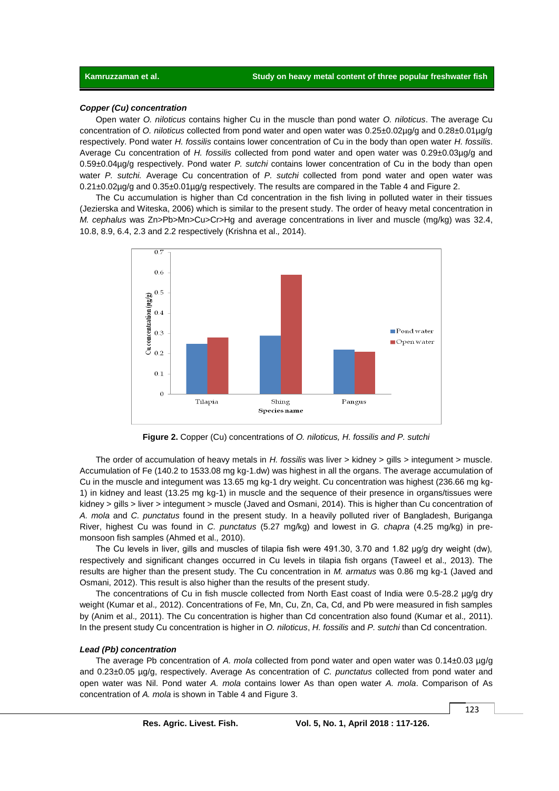### *Copper (Cu) concentration*

Open water *O. niloticus* contains higher Cu in the muscle than pond water *O. niloticus*. The average Cu concentration of *O. niloticus* collected from pond water and open water was 0.25±0.02µg/g and 0.28±0.01µg/g respectively. Pond water *H. fossilis* contains lower concentration of Cu in the body than open water *H. fossilis*. Average Cu concentration of *H. fossilis* collected from pond water and open water was 0.29±0.03µg/g and 0.59±0.04µg/g respectively. Pond water *P. sutchi* contains lower concentration of Cu in the body than open water *P. sutchi.* Average Cu concentration of *P. sutchi* collected from pond water and open water was  $0.21\pm0.02\mu$ g/g and  $0.35\pm0.01\mu$ g/g respectively. The results are compared in the Table 4 and Figure 2.

The Cu accumulation is higher than Cd concentration in the fish living in polluted water in their tissues (Jezierska and Witeska, 2006) which is similar to the present study. The order of heavy metal concentration in *M. cephalus* was Zn>Pb>Mn>Cu>Cr>Hg and average concentrations in liver and muscle (mg/kg) was 32.4, 10.8, 8.9, 6.4, 2.3 and 2.2 respectively (Krishna et al.*,* 2014).



**Figure 2.** Copper (Cu) concentrations of *O. niloticus, H. fossilis and P. sutchi*

The order of accumulation of heavy metals in *H. fossilis* was liver > kidney > gills > integument > muscle. Accumulation of Fe (140.2 to 1533.08 mg kg-1.dw) was highest in all the organs. The average accumulation of Cu in the muscle and integument was 13.65 mg kg-1 dry weight. Cu concentration was highest (236.66 mg kg-1) in kidney and least (13.25 mg kg-1) in muscle and the sequence of their presence in organs/tissues were kidney > gills > liver > integument > muscle (Javed and Osmani, 2014). This is higher than Cu concentration of *A. mola* and *C. punctatus* found in the present study. In a heavily polluted river of Bangladesh, Buriganga River, highest Cu was found in *C. punctatus* (5.27 mg/kg) and lowest in *G. chapra* (4.25 mg/kg) in premonsoon fish samples (Ahmed et al.*,* 2010).

The Cu levels in liver, gills and muscles of tilapia fish were 491.30, 3.70 and 1.82 µg/g dry weight (dw), respectively and significant changes occurred in Cu levels in tilapia fish organs (Taweel et al.*,* 2013). The results are higher than the present study. The Cu concentration in *M. armatus* was 0.86 mg kg-1 (Javed and Osmani, 2012). This result is also higher than the results of the present study.

The concentrations of Cu in fish muscle collected from North East coast of India were 0.5-28.2 µg/g dry weight (Kumar et al.*,* 2012). Concentrations of Fe, Mn, Cu, Zn, Ca, Cd, and Pb were measured in fish samples by (Anim et al.*,* 2011). The Cu concentration is higher than Cd concentration also found (Kumar et al.*,* 2011). In the present study Cu concentration is higher in *O. niloticus*, *H. fossilis* and *P. sutchi* than Cd concentration.

#### *Lead (Pb) concentration*

The average Pb concentration of *A. mola* collected from pond water and open water was 0.14±0.03 µg/g and 0.23±0.05 µg/g, respectively. Average As concentration of *C. punctatus* collected from pond water and open water was Nil. Pond water *A. mola* contains lower As than open water *A. mola*. Comparison of As concentration of *A. mola* is shown in Table 4 and Figure 3.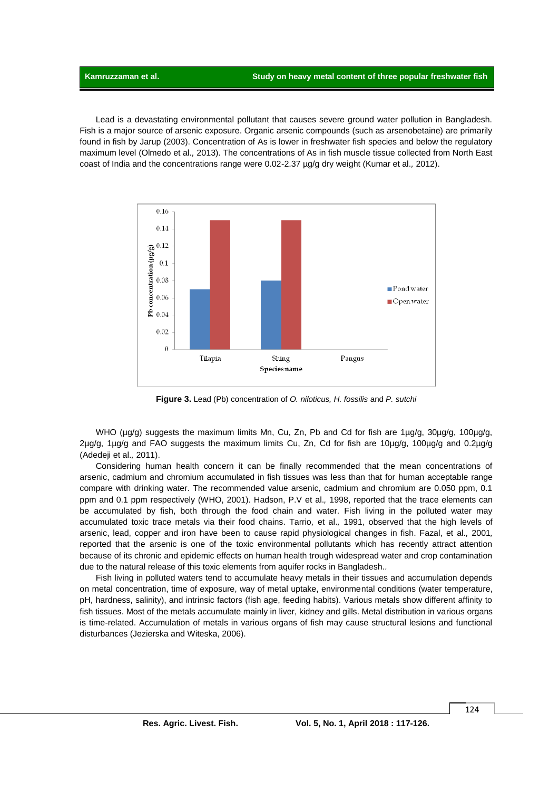Lead is a devastating environmental pollutant that causes severe ground water pollution in Bangladesh. Fish is a major source of arsenic exposure. Organic arsenic compounds (such as arsenobetaine) are primarily found in fish by Jarup (2003). Concentration of As is lower in freshwater fish species and below the regulatory maximum level (Olmedo et al.*,* 2013). The concentrations of As in fish muscle tissue collected from North East coast of India and the concentrations range were 0.02-2.37 µg/g dry weight (Kumar et al.*,* 2012).



**Figure 3.** Lead (Pb) concentration of *O. niloticus, H. fossilis* and *P. sutchi*

WHO (ug/g) suggests the maximum limits Mn, Cu, Zn, Pb and Cd for fish are 1ug/g, 30ug/g, 100ug/g, 2µg/g, 1µg/g and FAO suggests the maximum limits Cu, Zn, Cd for fish are 10µg/g, 100µg/g and 0.2µg/g (Adedeji et al.*,* 2011).

Considering human health concern it can be finally recommended that the mean concentrations of arsenic, cadmium and chromium accumulated in fish tissues was less than that for human acceptable range compare with drinking water. The recommended value arsenic, cadmium and chromium are 0.050 ppm, 0.1 ppm and 0.1 ppm respectively (WHO, 2001). Hadson, P.V et al.*,* 1998, reported that the trace elements can be accumulated by fish, both through the food chain and water. Fish living in the polluted water may accumulated toxic trace metals via their food chains. Tarrio*,* et al.*,* 1991, observed that the high levels of arsenic, lead, copper and iron have been to cause rapid physiological changes in fish. Fazal, et al.*,* 2001*,*  reported that the arsenic is one of the toxic environmental pollutants which has recently attract attention because of its chronic and epidemic effects on human health trough widespread water and crop contamination due to the natural release of this toxic elements from aquifer rocks in Bangladesh.*.*

Fish living in polluted waters tend to accumulate heavy metals in their tissues and accumulation depends on metal concentration, time of exposure, way of metal uptake, environmental conditions (water temperature, pH, hardness, salinity), and intrinsic factors (fish age, feeding habits). Various metals show different affinity to fish tissues. Most of the metals accumulate mainly in liver, kidney and gills. Metal distribution in various organs is time-related. Accumulation of metals in various organs of fish may cause structural lesions and functional disturbances (Jezierska and Witeska, 2006).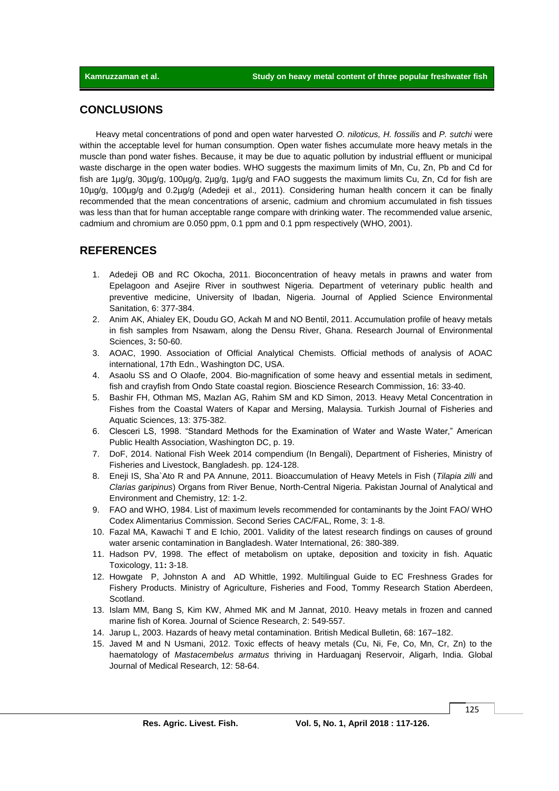# **CONCLUSIONS**

Heavy metal concentrations of pond and open water harvested *O. niloticus, H. fossilis* and *P. sutchi* were within the acceptable level for human consumption. Open water fishes accumulate more heavy metals in the muscle than pond water fishes. Because, it may be due to aquatic pollution by industrial effluent or municipal waste discharge in the open water bodies. WHO suggests the maximum limits of Mn, Cu, Zn, Pb and Cd for fish are 1µg/g, 30µg/g, 100µg/g, 2µg/g, 1µg/g and FAO suggests the maximum limits Cu, Zn, Cd for fish are 10µg/g, 100µg/g and 0.2µg/g (Adedeji et al.*,* 2011). Considering human health concern it can be finally recommended that the mean concentrations of arsenic, cadmium and chromium accumulated in fish tissues was less than that for human acceptable range compare with drinking water. The recommended value arsenic, cadmium and chromium are 0.050 ppm, 0.1 ppm and 0.1 ppm respectively (WHO, 2001).

# **REFERENCES**

- 1. Adedeji OB and RC Okocha, 2011. Bioconcentration of heavy metals in prawns and water from Epelagoon and Asejire River in southwest Nigeria. Department of veterinary public health and preventive medicine, University of Ibadan, Nigeria. Journal of Applied Science Environmental Sanitation, 6: 377-384.
- 2. Anim AK, Ahialey EK, Doudu GO, Ackah M and NO Bentil, 2011. Accumulation profile of heavy metals in fish samples from Nsawam, along the Densu River, Ghana. Research Journal of Environmental Sciences, 3**:** 50-60.
- 3. AOAC, 1990. Association of Official Analytical Chemists. Official methods of analysis of AOAC international, 17th Edn., Washington DC, USA.
- 4. Asaolu SS and O Olaofe, 2004. Bio-magnification of some heavy and essential metals in sediment, fish and crayfish from Ondo State coastal region. Bioscience Research Commission, 16: 33-40.
- 5. Bashir FH, Othman MS, Mazlan AG, Rahim SM and KD Simon, 2013. Heavy Metal Concentration in Fishes from the Coastal Waters of Kapar and Mersing, Malaysia. Turkish Journal of Fisheries and Aquatic Sciences, 13: 375-382.
- 6. Clesceri LS, 1998. "Standard Methods for the Examination of Water and Waste Water," American Public Health Association, Washington DC, p. 19.
- 7. DoF, 2014. National Fish Week 2014 compendium (In Bengali), Department of Fisheries, Ministry of Fisheries and Livestock, Bangladesh. pp. 124-128.
- 8. Eneji IS, Sha`Ato R and PA Annune, 2011. Bioaccumulation of Heavy Metels in Fish (*Tilapia zilli* and *Clarias garipinus*) Organs from River Benue, North-Central Nigeria. Pakistan Journal of Analytical and Environment and Chemistry, 12: 1-2.
- 9. FAO and WHO, 1984. List of maximum levels recommended for contaminants by the Joint FAO/ WHO Codex Alimentarius Commission. Second Series CAC/FAL, Rome, 3: 1-8.
- 10. Fazal MA, Kawachi T and E Ichio, 2001. Validity of the latest research findings on causes of ground water arsenic contamination in Bangladesh. Water International, 26: 380-389.
- 11. Hadson PV, 1998. The effect of metabolism on uptake, deposition and toxicity in fish. Aquatic Toxicology, 11**:** 3-18.
- 12. Howgate P, Johnston A and AD Whittle, 1992. Multilingual Guide to EC Freshness Grades for Fishery Products. Ministry of Agriculture, Fisheries and Food, Tommy Research Station Aberdeen, Scotland.
- 13. Islam MM, Bang S, Kim KW, Ahmed MK and M Jannat, 2010. Heavy metals in frozen and canned marine fish of Korea. Journal of Science Research, 2: 549-557.
- 14. Jarup L, 2003. Hazards of heavy metal contamination. British Medical Bulletin, 68: 167–182.
- 15. Javed M and N Usmani, 2012. Toxic effects of heavy metals (Cu, Ni, Fe, Co, Mn, Cr, Zn) to the haematology of *Mastacembelus armatus* thriving in Harduaganj Reservoir, Aligarh, India. Global Journal of Medical Research, 12: 58-64.